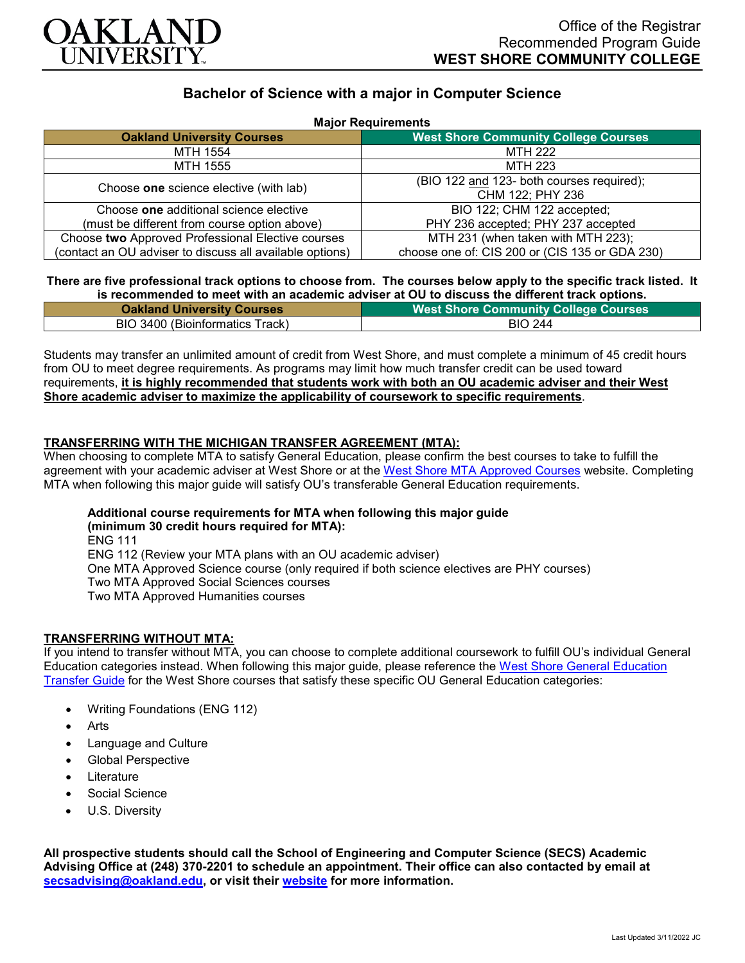

# **Bachelor of Science with a major in Computer Science**

| <b>Major Requirements</b>                                |                                                |
|----------------------------------------------------------|------------------------------------------------|
| <b>Oakland University Courses</b>                        | <b>West Shore Community College Courses</b>    |
| MTH 1554                                                 | <b>MTH 222</b>                                 |
| MTH 1555                                                 | <b>MTH 223</b>                                 |
| Choose one science elective (with lab)                   | (BIO 122 and 123- both courses required);      |
|                                                          | CHM 122; PHY 236                               |
| Choose one additional science elective                   | BIO 122; CHM 122 accepted;                     |
| (must be different from course option above)             | PHY 236 accepted; PHY 237 accepted             |
| Choose two Approved Professional Elective courses        | MTH 231 (when taken with MTH 223);             |
| (contact an OU adviser to discuss all available options) | choose one of: CIS 200 or (CIS 135 or GDA 230) |

## **There are five professional track options to choose from. The courses below apply to the specific track listed. It is recommended to meet with an academic adviser at OU to discuss the different track options.**

| <b>Oakland University Courses</b> | West Shore Community College Courses |
|-----------------------------------|--------------------------------------|
| BIO 3400 (Bioinformatics Track)   | <b>BIO 244</b>                       |

Students may transfer an unlimited amount of credit from West Shore, and must complete a minimum of 45 credit hours from OU to meet degree requirements. As programs may limit how much transfer credit can be used toward requirements, **it is highly recommended that students work with both an OU academic adviser and their West Shore academic adviser to maximize the applicability of coursework to specific requirements**.

## **TRANSFERRING WITH THE MICHIGAN TRANSFER AGREEMENT (MTA):**

When choosing to complete MTA to satisfy General Education, please confirm the best courses to take to fulfill the agreement with your academic adviser at West Shore or at the [West Shore MTA Approved Courses](https://www.westshore.edu/admissions/transfer-students/) website. Completing MTA when following this major guide will satisfy OU's transferable General Education requirements.

#### **Additional course requirements for MTA when following this major guide (minimum 30 credit hours required for MTA):**

ENG 111 ENG 112 (Review your MTA plans with an OU academic adviser) One MTA Approved Science course (only required if both science electives are PHY courses) Two MTA Approved Social Sciences courses Two MTA Approved Humanities courses

# **TRANSFERRING WITHOUT MTA:**

If you intend to transfer without MTA, you can choose to complete additional coursework to fulfill OU's individual General Education categories instead. When following this major guide, please reference the [West Shore General Education](https://www.oakland.edu/Assets/Oakland/program-guides/west-shore-community-college/university-general-education-requirements/West%20Shore%20Gen%20Ed.pdf)  [Transfer Guide](https://www.oakland.edu/Assets/Oakland/program-guides/west-shore-community-college/university-general-education-requirements/West%20Shore%20Gen%20Ed.pdf) for the West Shore courses that satisfy these specific OU General Education categories:

- Writing Foundations (ENG 112)
- Arts
- Language and Culture
- Global Perspective
- **Literature**
- Social Science
- U.S. Diversity

**All prospective students should call the School of Engineering and Computer Science (SECS) Academic Advising Office at (248) 370-2201 to schedule an appointment. Their office can also contacted by email at [secsadvising@oakland.edu,](mailto:secsadvising@oakland.edu) or visit their [website](https://wwwp.oakland.edu/secs/advising/) for more information.**